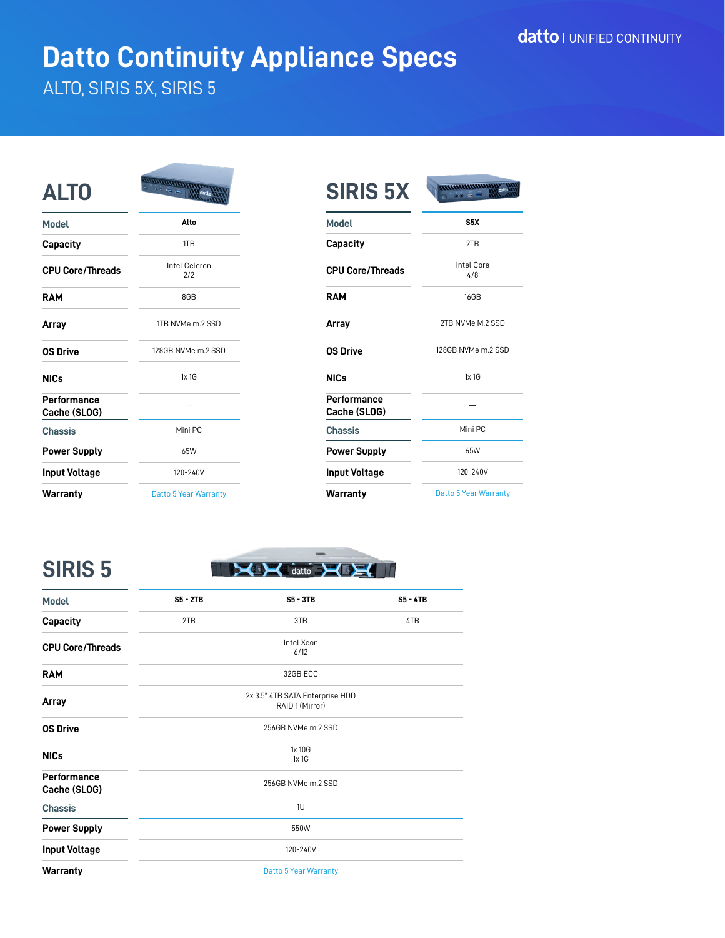# **Datto Continuity Appliance Specs**

### ALTO, SIRIS 5X, SIRIS 5

| <b>ALTO</b>                 | <u>animumn</u>        |
|-----------------------------|-----------------------|
| <b>Model</b>                | Alto                  |
| Capacity                    | 1TB                   |
| <b>CPU Core/Threads</b>     | Intel Celeron<br>2/2  |
| <b>RAM</b>                  | 8GB                   |
| Array                       | 1TB NVMe m.2 SSD      |
| <b>OS Drive</b>             | 128GB NVMe m.2 SSD    |
| <b>NICs</b>                 | 1x1G                  |
| Performance<br>Cache (SLOG) |                       |
| <b>Chassis</b>              | Mini PC               |
| <b>Power Supply</b>         | 65W                   |
| <b>Input Voltage</b>        | 120-240V              |
| Warranty                    | Datto 5 Year Warranty |

| <b>SIRIS 5X</b>             | <u>mmmmmmm</u>        |
|-----------------------------|-----------------------|
| <b>Model</b>                | S5X                   |
| Capacity                    | 2TB                   |
| <b>CPU Core/Threads</b>     | Intel Core<br>4/8     |
| <b>RAM</b>                  | 16GB                  |
| Array                       | 2TB NVMe M.2 SSD      |
| <b>OS Drive</b>             | 128GB NVMe m.2 SSD    |
| <b>NICs</b>                 | $1x$ 1 $G$            |
| Performance<br>Cache (SLOG) |                       |
| <b>Chassis</b>              | Mini PC               |
| <b>Power Supply</b>         | 65W                   |
| <b>Input Voltage</b>        | 120-240V              |
| Warranty                    | Datto 5 Year Warranty |

**SIRIS 5**



| <b>Model</b>                | <b>S5 - 2TB</b>              | $SS - 3TB$                                         | $SS - 4TB$ |
|-----------------------------|------------------------------|----------------------------------------------------|------------|
| <b>Capacity</b>             | 2TB                          | 3TB                                                | 4TB        |
| <b>CPU Core/Threads</b>     |                              | Intel Xeon<br>6/12                                 |            |
| <b>RAM</b>                  |                              | 32GB ECC                                           |            |
| Array                       |                              | 2x 3.5" 4TB SATA Enterprise HDD<br>RAID 1 (Mirror) |            |
| <b>OS Drive</b>             |                              | 256GB NVMe m.2 SSD                                 |            |
| <b>NICs</b>                 |                              | 1x 10G<br>1x1G                                     |            |
| Performance<br>Cache (SLOG) |                              | 256GB NVMe m.2 SSD                                 |            |
| <b>Chassis</b>              |                              | 1U                                                 |            |
| <b>Power Supply</b>         |                              | 550W                                               |            |
| <b>Input Voltage</b>        | 120-240V                     |                                                    |            |
| <b>Warranty</b>             | <b>Datto 5 Year Warranty</b> |                                                    |            |
|                             |                              |                                                    |            |